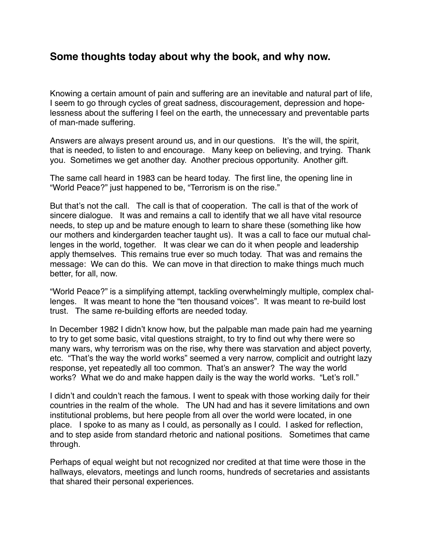## **Some thoughts today about why the book, and why now.**

Knowing a certain amount of pain and suffering are an inevitable and natural part of life, I seem to go through cycles of great sadness, discouragement, depression and hopelessness about the suffering I feel on the earth, the unnecessary and preventable parts of man-made suffering.

Answers are always present around us, and in our questions. It's the will, the spirit, that is needed, to listen to and encourage. Many keep on believing, and trying. Thank you. Sometimes we get another day. Another precious opportunity. Another gift.

The same call heard in 1983 can be heard today. The first line, the opening line in "World Peace?" just happened to be, "Terrorism is on the rise."

But that's not the call. The call is that of cooperation. The call is that of the work of sincere dialogue. It was and remains a call to identify that we all have vital resource needs, to step up and be mature enough to learn to share these (something like how our mothers and kindergarden teacher taught us). It was a call to face our mutual challenges in the world, together. It was clear we can do it when people and leadership apply themselves. This remains true ever so much today. That was and remains the message: We can do this. We can move in that direction to make things much much better, for all, now.

"World Peace?" is a simplifying attempt, tackling overwhelmingly multiple, complex challenges. It was meant to hone the "ten thousand voices". It was meant to re-build lost trust. The same re-building efforts are needed today.

In December 1982 I didn't know how, but the palpable man made pain had me yearning to try to get some basic, vital questions straight, to try to find out why there were so many wars, why terrorism was on the rise, why there was starvation and abject poverty, etc. "That's the way the world works" seemed a very narrow, complicit and outright lazy response, yet repeatedly all too common. That's an answer? The way the world works? What we do and make happen daily is the way the world works. "Let's roll."

I didn't and couldn't reach the famous. I went to speak with those working daily for their countries in the realm of the whole. The UN had and has it severe limitations and own institutional problems, but here people from all over the world were located, in one place. I spoke to as many as I could, as personally as I could. I asked for reflection, and to step aside from standard rhetoric and national positions. Sometimes that came through.

Perhaps of equal weight but not recognized nor credited at that time were those in the hallways, elevators, meetings and lunch rooms, hundreds of secretaries and assistants that shared their personal experiences.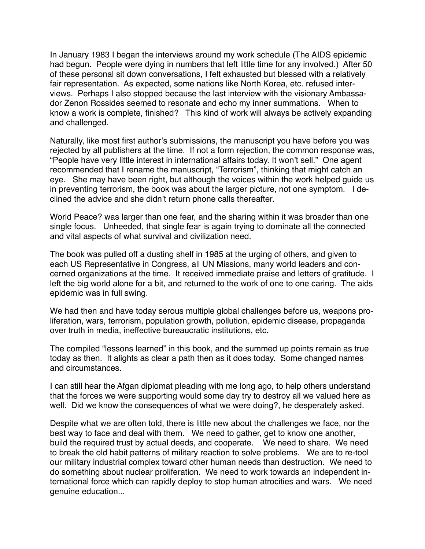In January 1983 I began the interviews around my work schedule (The AIDS epidemic had begun. People were dying in numbers that left little time for any involved.) After 50 of these personal sit down conversations, I felt exhausted but blessed with a relatively fair representation. As expected, some nations like North Korea, etc. refused interviews. Perhaps I also stopped because the last interview with the visionary Ambassador Zenon Rossides seemed to resonate and echo my inner summations. When to know a work is complete, finished? This kind of work will always be actively expanding and challenged.

Naturally, like most first author's submissions, the manuscript you have before you was rejected by all publishers at the time. If not a form rejection, the common response was, "People have very little interest in international affairs today. It won't sell." One agent recommended that I rename the manuscript, "Terrorism", thinking that might catch an eye. She may have been right, but although the voices within the work helped guide us in preventing terrorism, the book was about the larger picture, not one symptom. I declined the advice and she didn't return phone calls thereafter.

World Peace? was larger than one fear, and the sharing within it was broader than one single focus. Unheeded, that single fear is again trying to dominate all the connected and vital aspects of what survival and civilization need.

The book was pulled off a dusting shelf in 1985 at the urging of others, and given to each US Representative in Congress, all UN Missions, many world leaders and concerned organizations at the time. It received immediate praise and letters of gratitude. I left the big world alone for a bit, and returned to the work of one to one caring. The aids epidemic was in full swing.

We had then and have today serous multiple global challenges before us, weapons proliferation, wars, terrorism, population growth, pollution, epidemic disease, propaganda over truth in media, ineffective bureaucratic institutions, etc.

The compiled "lessons learned" in this book, and the summed up points remain as true today as then. It alights as clear a path then as it does today. Some changed names and circumstances.

I can still hear the Afgan diplomat pleading with me long ago, to help others understand that the forces we were supporting would some day try to destroy all we valued here as well. Did we know the consequences of what we were doing?, he desperately asked.

Despite what we are often told, there is little new about the challenges we face, nor the best way to face and deal with them. We need to gather, get to know one another, build the required trust by actual deeds, and cooperate. We need to share. We need to break the old habit patterns of military reaction to solve problems. We are to re-tool our military industrial complex toward other human needs than destruction. We need to do something about nuclear proliferation. We need to work towards an independent international force which can rapidly deploy to stop human atrocities and wars. We need genuine education...